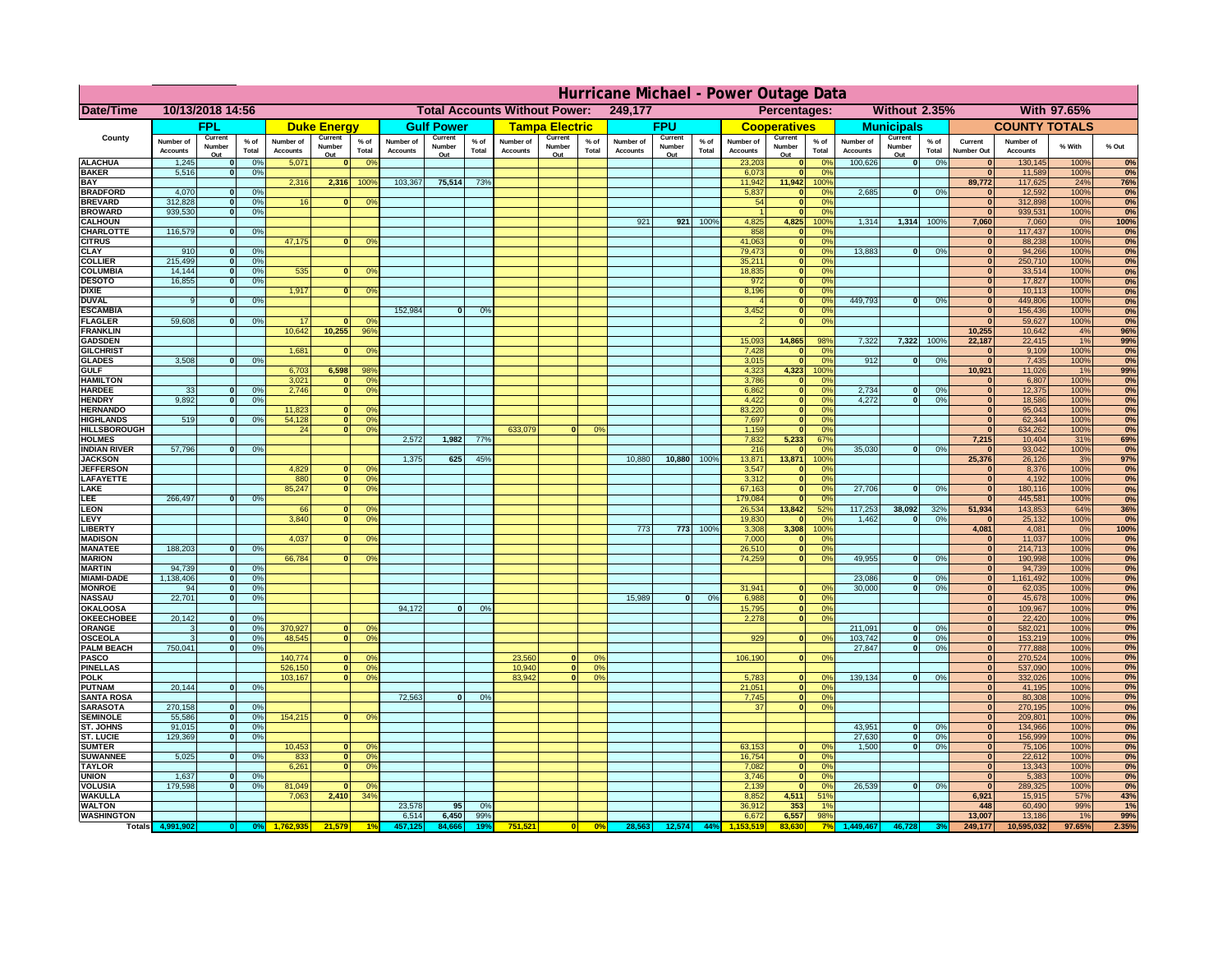|                                       | Hurricane Michael - Power Outage Data |                          |                                  |                              |                     |                                                          |                              |                   |                 |                              |                                                     |                 |                       |                   |                 |                              |                              |                        |                              |                             |                 |                              |                              |              |              |
|---------------------------------------|---------------------------------------|--------------------------|----------------------------------|------------------------------|---------------------|----------------------------------------------------------|------------------------------|-------------------|-----------------|------------------------------|-----------------------------------------------------|-----------------|-----------------------|-------------------|-----------------|------------------------------|------------------------------|------------------------|------------------------------|-----------------------------|-----------------|------------------------------|------------------------------|--------------|--------------|
| Date/Time                             | 10/13/2018 14:56                      |                          |                                  |                              |                     | <b>Total Accounts Without Power:</b><br>249,177          |                              |                   |                 |                              | <b>Without 2.35%</b><br>With 97.65%<br>Percentages: |                 |                       |                   |                 |                              |                              |                        |                              |                             |                 |                              |                              |              |              |
|                                       |                                       | <b>FPL</b>               |                                  |                              | <b>Duke Energy</b>  |                                                          |                              | <b>Gulf Power</b> |                 |                              | <b>Tampa Electric</b>                               |                 |                       | <b>FPU</b>        |                 |                              | <b>Cooperatives</b>          |                        |                              | <b>Municipals</b>           |                 |                              | <b>COUNTY TOTALS</b>         |              |              |
| County                                | Number of<br><b>Accounts</b>          | Current<br>Number        | % of<br>Total                    | Number of<br><b>Accounts</b> | Current<br>Number   | $%$ of<br>Total                                          | Number of<br><b>Accounts</b> | Current<br>Number | $%$ of<br>Total | Number of<br><b>Accounts</b> | Current<br>Number                                   | $%$ of<br>Total | Number of<br>Accounts | Current<br>Number | $%$ of<br>Total | Number of<br><b>Accounts</b> | Current<br>Number            | $%$ of<br>Total        | Number of<br><b>Accounts</b> | Current<br>Number           | $%$ of<br>Total | Current<br><b>Number Out</b> | Number of<br><b>Accounts</b> | % With       | % Out        |
| <b>ALACHUA</b>                        | 1,245                                 | Out                      | 0 <sup>9</sup>                   | 5,071                        | Out<br>$\mathbf{0}$ | 0 <sup>9</sup>                                           |                              | Out               |                 |                              | Out                                                 |                 |                       | Out               |                 | 23,203                       | Out<br>$\mathbf{0}$          | 0 <sup>9</sup>         | 100,626                      | Out<br> 0                   | 0%              | $\bf{0}$                     | 130,145                      | 100%         | 0%           |
| <b>BAKER</b>                          | 5,516                                 |                          | 0%                               |                              |                     |                                                          |                              |                   |                 |                              |                                                     |                 |                       |                   |                 | 6,073                        | ō                            | 0%                     |                              |                             |                 | $\overline{\mathbf{0}}$      | 11,589                       | 100%         | 0%           |
| <b>BAY</b><br><b>BRADFORD</b>         | 4,070                                 |                          | 0 <sup>9</sup>                   | 2,316                        | 2,316               | 100%                                                     | 103,367                      | 75,514            | 73%             |                              |                                                     |                 |                       |                   |                 | 11,942<br>5,837              | 11,942<br>$\mathbf{0}$       | 100%<br>0%             | 2,685                        | 0                           | 0%              | 89,772<br>$\bf{0}$           | 117,625<br>12,592            | 24%<br>100%  | 76%<br>0%    |
| <b>BREVARD</b>                        | 312,828                               |                          | 0 <sup>9</sup>                   | 16                           | $\mathbf{0}$        | 0 <sup>9</sup>                                           |                              |                   |                 |                              |                                                     |                 |                       |                   |                 | 54                           | $\mathbf{0}$                 | 0%                     |                              |                             |                 | $\mathbf{0}$                 | 312,898                      | 100%         | 0%           |
| <b>BROWARD</b>                        | 939.530                               |                          | 0 <sup>9</sup>                   |                              |                     |                                                          |                              |                   |                 |                              |                                                     |                 |                       |                   |                 |                              | $\mathbf{0}$                 | 0%                     |                              |                             |                 | $\bf{0}$                     | 939,531                      | 100%         | 0%           |
| <b>CALHOUN</b><br>CHARLOTTE           | 116,579                               |                          | 0 <sup>9</sup>                   |                              |                     |                                                          |                              |                   |                 |                              |                                                     |                 | 921                   | 921               | 100%            | 4,825<br>858                 | 4,825<br>$\mathbf 0$         | 100%<br>0%             | 1,314                        | 1,314 100%                  |                 | 7,060                        | 7,060<br>117,437             | 0%<br>100%   | 100%<br>0%   |
| <b>CITRUS</b>                         |                                       |                          |                                  | 47,175                       | $\bf{0}$            | 0 <sup>9</sup>                                           |                              |                   |                 |                              |                                                     |                 |                       |                   |                 | 41,063                       | $\mathbf{0}$                 | 0 <sup>9</sup>         |                              |                             |                 | $\bf{0}$                     | 88,238                       | 100%         | 0%           |
| <b>CLAY</b>                           | 910                                   |                          | 0 <sup>9</sup>                   |                              |                     |                                                          |                              |                   |                 |                              |                                                     |                 |                       |                   |                 | 79,473                       | $\bullet$                    | 0 <sup>9</sup>         | 13,883                       | $\mathbf{0}$                | 0%              | $\bf{0}$                     | 94,266                       | 100%         | 0%           |
| <b>COLLIER</b>                        | 215,499                               |                          | 0 <sup>9</sup>                   | 535                          |                     |                                                          |                              |                   |                 |                              |                                                     |                 |                       |                   |                 | 35,211                       | $\mathbf{0}$                 | 0%<br>0%               |                              |                             |                 | $\bf{0}$<br>$\bf{0}$         | 250,710                      | 100%         | 0%           |
| <b>COLUMBIA</b><br><b>DESOTO</b>      | 14,144<br>16,855                      |                          | 0 <sup>9</sup><br>0 <sup>9</sup> |                              | $\bf{0}$            | 0 <sup>9</sup>                                           |                              |                   |                 |                              |                                                     |                 |                       |                   |                 | 18,835<br>972                | ō<br>ō                       | 0%                     |                              |                             |                 | $\bf{0}$                     | 33,514<br>17,827             | 100%<br>100% | 0%<br>0%     |
| <b>DIXIE</b>                          |                                       |                          |                                  | 1,917                        | $\mathbf{0}$        | 0°                                                       |                              |                   |                 |                              |                                                     |                 |                       |                   |                 | 8,196                        | $\mathbf{0}$                 | nº                     |                              |                             |                 | $\bf{0}$                     | 10,113                       | 100%         | 0%           |
| <b>DUVAL</b>                          |                                       |                          | 0%                               |                              |                     |                                                          |                              |                   |                 |                              |                                                     |                 |                       |                   |                 |                              | $\mathbf{0}$                 | 0%                     | 449.793                      | ol                          | 0%              | $\Omega$                     | 449,806                      | 100%         | 0%           |
| <b>ESCAMBIA</b><br><b>FLAGLER</b>     | 59,608                                |                          | 0%                               | 17                           | $\mathbf{r}$        | 0 <sup>9</sup>                                           | 152,984                      | $\bf{0}$          | 0 <sup>9</sup>  |                              |                                                     |                 |                       |                   |                 | 3,452                        | $\mathbf{0}$<br>$\bullet$    | 0%<br>0%               |                              |                             |                 | $\mathbf{0}$<br>$\mathbf{r}$ | 156,436<br>59,627            | 100%<br>100% | 0%<br>0%     |
| <b>FRANKLIN</b>                       |                                       |                          |                                  | 10,642                       | 10,255              | 96%                                                      |                              |                   |                 |                              |                                                     |                 |                       |                   |                 |                              |                              |                        |                              |                             |                 | 10,255                       | 10,642                       | 4%           | 96%          |
| <b>GADSDEN</b>                        |                                       |                          |                                  |                              |                     |                                                          |                              |                   |                 |                              |                                                     |                 |                       |                   |                 | 15,093                       | 14,865                       | 98%                    | 7,322                        | 7,322                       | 100%            | 22,187                       | 22,415                       | 1%           | 99%          |
| <b>GILCHRIST</b>                      |                                       |                          |                                  | 1,681                        | $\mathbf{0}$        | 0 <sup>9</sup>                                           |                              |                   |                 |                              |                                                     |                 |                       |                   |                 | 7,428                        | $\mathbf{0}$                 | 0%                     |                              |                             |                 | $\overline{\mathbf{0}}$      | 9,109                        | 100%         | 0%           |
| <b>GLADES</b><br><b>GULF</b>          | 3,508                                 |                          | 0 <sup>9</sup>                   | 6,703                        | 6,598               | 98%                                                      |                              |                   |                 |                              |                                                     |                 |                       |                   |                 | 3,015<br>4,323               | $\bullet$<br>4,323           | 0%<br>100%             | 912                          | 0                           | 0%              | 0 <br>10,921                 | 7,435<br>11,026              | 100%<br>1%   | 0%<br>99%    |
| <b>HAMILTON</b>                       |                                       |                          |                                  | 3,021                        |                     | 0 <sup>9</sup><br>n l                                    |                              |                   |                 |                              |                                                     |                 |                       |                   |                 | 3,786                        | $\mathbf{0}$                 | 0%                     |                              |                             |                 | $\Omega$                     | 6,807                        | 100%         | 0%           |
| <b>HARDEE</b>                         | 33                                    |                          | 0%                               | 2.746                        |                     | n l<br>0 <sup>9</sup>                                    |                              |                   |                 |                              |                                                     |                 |                       |                   |                 | 6.862                        | 0                            | 0%                     | 2.734                        | $\mathbf{0}$                | 0%              | 0                            | 12,375                       | 100%         | 0%           |
| <b>HENDRY</b><br><b>HERNANDO</b>      | 9.892                                 |                          | 0%                               | 11,823                       | <sup>o</sup>        | $\Omega$                                                 |                              |                   |                 |                              |                                                     |                 |                       |                   |                 | 4.422<br>83,220              | 0 <br> 0                     | 0%<br>0%               | 4.272                        | $\mathbf{0}$                | 0%              | 0 <br> 0                     | 18.586<br>95,043             | 100%<br>100% | 0%           |
| <b>HIGHLANDS</b>                      | 519                                   |                          | 0 <sup>9</sup>                   | 54,128                       |                     | $\overline{0}$<br>0%                                     |                              |                   |                 |                              |                                                     |                 |                       |                   |                 | 7,697                        | ō                            | 0%                     |                              |                             |                 | 0                            | 62,344                       | 100%         | 0%<br>0%     |
| <b>HILLSBOROUGH</b>                   |                                       |                          |                                  | 24                           |                     | $\overline{0}$<br>0%                                     |                              |                   |                 | 633,079                      |                                                     | 0 <sup>9</sup>  |                       |                   |                 | 1,159                        | $\mathbf{0}$                 | 0%                     |                              |                             |                 | 0                            | 634,262                      | 100%         | 0%           |
| <b>HOLMES</b>                         |                                       |                          |                                  |                              |                     |                                                          | 2,572                        | 1,982             | 77%             |                              |                                                     |                 |                       |                   |                 | 7,832                        | 5,233                        | 67%                    |                              |                             |                 | 7,215                        | 10,404                       | 31%          | 69%          |
| <b>INDIAN RIVER</b><br><b>JACKSON</b> | 57,796                                |                          | 0%                               |                              |                     |                                                          | 1,375                        | 625               | 45%             |                              |                                                     |                 | 10,880                | 10,880            | 100%            | 216<br>13,871                | $\mathbf{0}$<br>13,871       | 0 <sup>9</sup><br>100% | 35,030                       | $\mathbf{0}$                | 0%              | $\bf{0}$<br>25,376           | 93,042<br>26,126             | 100%<br>3%   | 0%<br>97%    |
| <b>JEFFERSON</b>                      |                                       |                          |                                  | 4,829                        |                     | 0<br>0 <sup>9</sup>                                      |                              |                   |                 |                              |                                                     |                 |                       |                   |                 | 3,547                        | $\mathbf 0$                  | 0%                     |                              |                             |                 | $\Omega$                     | 8,376                        | 100%         | 0%           |
| LAFAYETTE                             |                                       |                          |                                  | 880                          |                     | $\overline{0}$<br>0%                                     |                              |                   |                 |                              |                                                     |                 |                       |                   |                 | 3,312                        | $\mathbf{0}$                 | 0%                     |                              |                             |                 | 0                            | 4,192                        | 100%         | 0%           |
| LAKE<br>LEE                           | 266,497                               |                          | 0%                               | 85,247                       |                     | $\overline{0}$<br>0%                                     |                              |                   |                 |                              |                                                     |                 |                       |                   |                 | 67,163                       | $\mathbf{0}$<br>$\mathbf{0}$ | 0%<br>0%               | 27,706                       | $\Omega$                    | 0%              | 0 <br> 0                     | 180,116                      | 100%<br>100% | 0%<br>0%     |
| <b>LEON</b>                           |                                       |                          |                                  | 66                           |                     | $\Omega$<br>O <sup>9</sup>                               |                              |                   |                 |                              |                                                     |                 |                       |                   |                 | 179,084<br>26,534            | 13,842                       | 52%                    | 117,253                      | 38,092                      | 32%             | 51,934                       | 445,581<br>143,853           | 64%          | 36%          |
| LEVY                                  |                                       |                          |                                  | 3,840                        |                     | 0 <sup>9</sup><br>$\Omega$                               |                              |                   |                 |                              |                                                     |                 |                       |                   |                 | 19,830                       | $\mathbf{0}$                 | 0%                     | 1,462                        | $\mathbf{0}$                | 0%              | $\mathbf{0}$                 | 25,132                       | 100%         | 0%           |
| LIBERTY                               |                                       |                          |                                  |                              |                     |                                                          |                              |                   |                 |                              |                                                     |                 | 773                   | 773               | 100%            | 3,308                        | 3,308                        | 100%                   |                              |                             |                 | 4,081                        | 4,081                        | 0%           | 100%         |
| <b>MADISON</b><br><b>MANATEE</b>      | 188,203                               | $\Omega$                 | 0%                               | 4,037                        |                     | 0 <sup>9</sup>                                           |                              |                   |                 |                              |                                                     |                 |                       |                   |                 | 7,000<br>26,510              | $\mathbf{0}$<br> 0           | 0%<br>0%               |                              |                             |                 | 0 <br> 0                     | 11,037<br>214,713            | 100%<br>100% | 0%<br>0%     |
| <b>MARION</b>                         |                                       |                          |                                  | 66,784                       |                     | 0°                                                       |                              |                   |                 |                              |                                                     |                 |                       |                   |                 | 74,259                       | 0                            | 0%                     | 49,955                       | $\Omega$                    | 0%              | 0                            | 190,998                      | 100%         | 0%           |
| <b>MARTIN</b>                         | 94,739                                | $\Omega$                 | 0 <sup>9</sup>                   |                              |                     |                                                          |                              |                   |                 |                              |                                                     |                 |                       |                   |                 |                              |                              |                        |                              |                             |                 | 0                            | 94,739                       | 100%         | 0%           |
| <b>MIAMI-DADE</b>                     | 1,138,406                             | $\mathbf{o}$<br>0        | 0 <sup>9</sup>                   |                              |                     |                                                          |                              |                   |                 |                              |                                                     |                 |                       |                   |                 |                              |                              |                        | 23,086                       | $\mathbf 0$<br>$\mathbf{0}$ | 0%              | 0                            | 1,161,492                    | 100%         | 0%<br>0%     |
| <b>MONROE</b><br><b>NASSAU</b>        | 94<br>22,701                          | $\Omega$                 | 0%<br>0%                         |                              |                     |                                                          |                              |                   |                 |                              |                                                     |                 | 15,989                | 0                 | 0%              | 31,941<br>6,988              | $\mathbf{0}$<br> 0           | 0 <sup>9</sup><br>0%   | 30,000                       |                             | 0%              | 0 <br> 0                     | 62,035<br>45,678             | 100%<br>100% | 0%           |
| <b>OKALOOSA</b>                       |                                       |                          |                                  |                              |                     |                                                          | 94,172                       | $\bf{0}$          | 0%              |                              |                                                     |                 |                       |                   |                 | 15,795                       | 0                            | 0%                     |                              |                             |                 | 0                            | 109,967                      | 100%         | 0%           |
| <b>OKEECHOBEE</b>                     | 20,142                                |                          | 0 <sup>9</sup>                   |                              |                     |                                                          |                              |                   |                 |                              |                                                     |                 |                       |                   |                 | 2,278                        | 0                            | 0%                     |                              |                             |                 | 0                            | 22,420                       | 100%         | 0%           |
| ORANGE<br><b>OSCEOLA</b>              |                                       | $\Omega$<br>$\Omega$     | 0 <sup>9</sup><br>0 <sup>9</sup> | 370,927<br>48,545            |                     | $\Omega$<br>0 <sup>6</sup><br>$\overline{0}$<br>$\Omega$ |                              |                   |                 |                              |                                                     |                 |                       |                   |                 | 929                          | 0                            | 0 <sup>9</sup>         | 211,091<br>103,742           | $\mathbf{0}$<br> 0          | 0%<br>0%        | 0 <br> 0                     | 582,021<br>153,219           | 100%<br>100% | 0%<br>0%     |
| <b>PALM BEACH</b>                     | 750,041                               | $\Omega$                 | 0 <sup>9</sup>                   |                              |                     |                                                          |                              |                   |                 |                              |                                                     |                 |                       |                   |                 |                              |                              |                        | 27,847                       | ol                          | 0%              | 0                            | 777,888                      | 100%         | 0%           |
| PASCO                                 |                                       |                          |                                  | 140,774                      |                     | $\Omega$<br>$^{\circ}$                                   |                              |                   |                 | 23,560                       | $\Omega$                                            | 0%              |                       |                   |                 | 106,190                      | 0                            | 0%                     |                              |                             |                 | 0                            | 270,524                      | 100%         | 0%           |
| <b>PINELLAS</b>                       |                                       |                          |                                  | 526,150                      |                     | 0 <sup>9</sup><br> 0                                     |                              |                   |                 | 10,940                       | $\overline{\mathbf{0}}$                             | 0%              |                       |                   |                 |                              |                              |                        |                              |                             |                 | $\Omega$                     | 537,090                      | 100%         | 0%           |
| <b>POLK</b><br><b>PUTNAM</b>          | 20,144                                | $\mathbf{0}$             | 0%                               | 103,167                      |                     | 0 <sup>9</sup><br> 0                                     |                              |                   |                 | 83,942                       | 0                                                   | 0%              |                       |                   |                 | 5,783<br>21,051              | 0 <br> 0                     | nº<br>0%               | 139,134                      | 0                           | 0%              | 0 <br>$\bf{0}$               | 332,026<br>41,195            | 100%<br>100% | 0%<br>0%     |
| <b>SANTA ROSA</b>                     |                                       |                          |                                  |                              |                     |                                                          | 72,563                       | 0                 | 0%              |                              |                                                     |                 |                       |                   |                 | 7,745                        | 0                            | 0%                     |                              |                             |                 | $\mathbf{0}$                 | 80,308                       | 100%         | 0%           |
| <b>SARASOTA</b>                       | 270,158                               | $\Omega$                 | 0%                               |                              |                     |                                                          |                              |                   |                 |                              |                                                     |                 |                       |                   |                 | 37                           | 0                            | 0%                     |                              |                             |                 | $\mathbf{0}$                 | 270,195                      | 100%         | 0%           |
| <b>SEMINOLE</b><br><b>ST. JOHNS</b>   | 55,586<br>91.015                      | $\mathbf{0}$<br>$\Omega$ | 0 <sup>9</sup><br>0%             | 154,215                      |                     | $\mathbf{0}$<br>0 <sup>9</sup>                           |                              |                   |                 |                              |                                                     |                 |                       |                   |                 |                              |                              |                        | 43,951                       | -ol                         | 0%              | $\mathbf{0}$<br> 0           | 209,801<br>134,966           | 100%<br>100% | 0%<br>0%     |
| <b>ST. LUCIE</b>                      | 129.369                               | $\Omega$                 | 0%                               |                              |                     |                                                          |                              |                   |                 |                              |                                                     |                 |                       |                   |                 |                              |                              |                        | 27.630                       | - O I                       | 0%              | 0                            | 156.999                      | 100%         | 0%           |
| <b>SUMTER</b>                         |                                       |                          |                                  | 10,453                       |                     | $\mathbf{0}$<br>$\Omega$                                 |                              |                   |                 |                              |                                                     |                 |                       |                   |                 | 63,153                       | $\mathbf{0}$                 | 0%                     | 1.500                        | 0                           | 0%              | $\mathbf{0}$                 | 75,106                       | 100%         | 0%           |
| <b>SUWANNEE</b>                       | 5,025                                 | $\Omega$                 | 0%                               | 833                          |                     | 0 <sup>9</sup><br> 0                                     |                              |                   |                 |                              |                                                     |                 |                       |                   |                 | 16,754                       | 0                            | 0%                     |                              |                             |                 | $\mathbf{0}$                 | 22,612                       | 100%         | 0%           |
| <b>TAYLOR</b><br><b>UNION</b>         | 1,637                                 |                          | 0 <sup>9</sup>                   | 6,261                        |                     | 0 <br>0 <sup>9</sup>                                     |                              |                   |                 |                              |                                                     |                 |                       |                   |                 | 7,082<br>3,746               | 0 <br>$\mathbf 0$            | 0%<br>0%               |                              |                             |                 | $\bf{0}$<br>$\bf{0}$         | 13,343<br>5,383              | 100%<br>100% | 0%<br>0%     |
| VOLUSIA                               | 179,598                               |                          | 0%                               | 81,049                       | $\mathbf{0}$        | 0 <sup>6</sup>                                           |                              |                   |                 |                              |                                                     |                 |                       |                   |                 | 2,139                        | $\mathbf 0$                  | 0%                     | 26,539                       | 0                           | 0%              | $\mathbf{0}$                 | 289,325                      | 100%         | 0%           |
| <b>WAKULLA</b>                        |                                       |                          |                                  | 7,063                        | 2,410               | 34%                                                      |                              |                   |                 |                              |                                                     |                 |                       |                   |                 | 8,852                        | 4,511                        | 51%                    |                              |                             |                 | 6,921                        | 15,915                       | 57%          | 43%          |
| <b>WALTON</b><br><b>WASHINGTON</b>    |                                       |                          |                                  |                              |                     |                                                          | 23,578<br>6,514              | 95                | 0%              |                              |                                                     |                 |                       |                   |                 | 36,912                       | 353                          | 1 <sup>9</sup>         |                              |                             |                 | 448<br>13,007                | 60,490                       | 99%          | 1%           |
| Totals 4,9                            |                                       |                          |                                  |                              |                     |                                                          |                              | 6,450<br>84.666   | 99%             | 751,521                      |                                                     | 0%              | 28,563                | 12,574            | 44%             | 6,672                        | 6,557                        | 98%                    |                              | 46.72                       |                 | 249,177                      | 13,186<br>10,595,032         | 1%<br>97.65% | 99%<br>2.35% |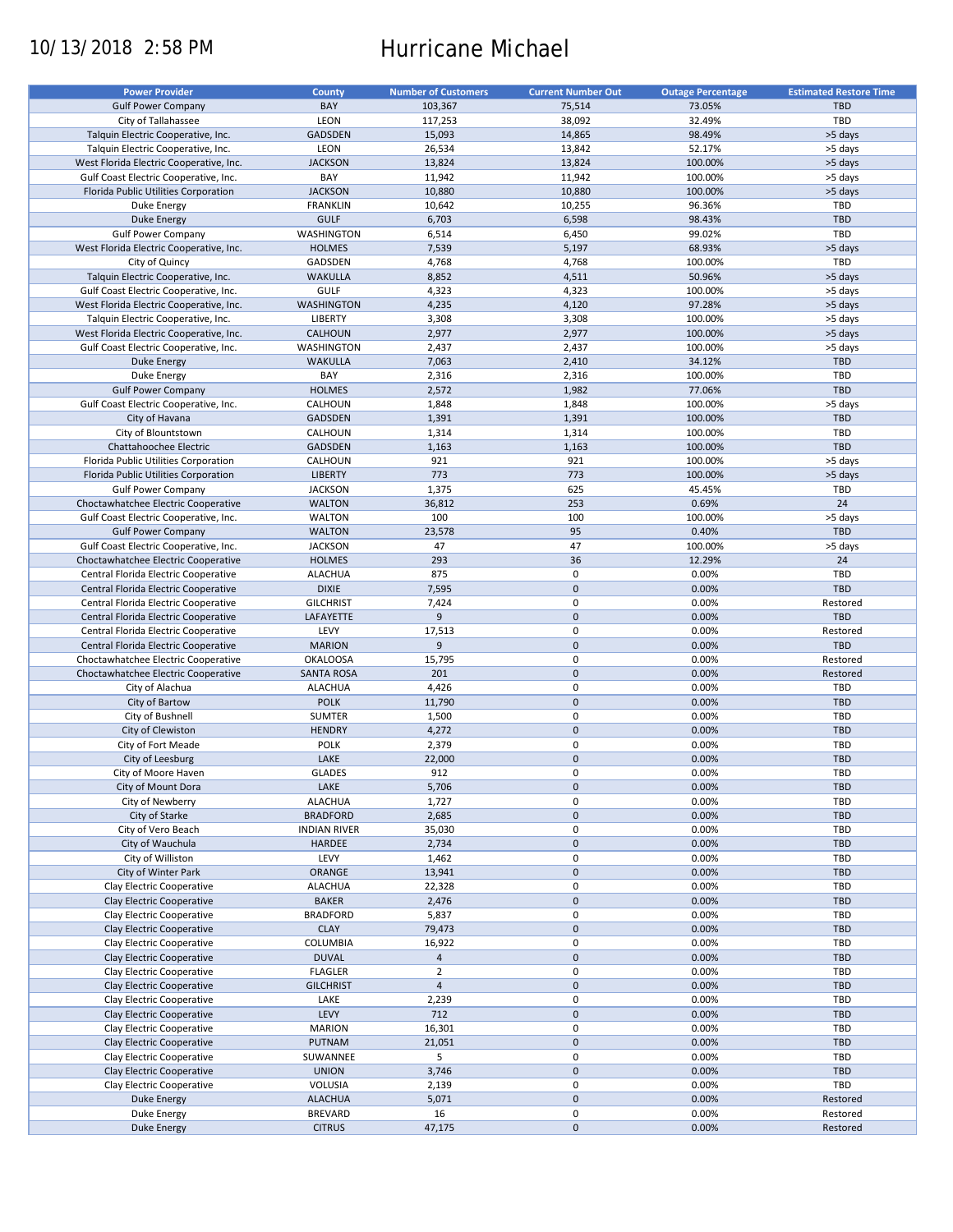# 10/13/2018 2:58 PM Hurricane Michael

| <b>Power Provider</b>                   | <b>County</b>       | <b>Number of Customers</b> | <b>Current Number Out</b> | <b>Outage Percentage</b> | <b>Estimated Restore Time</b> |
|-----------------------------------------|---------------------|----------------------------|---------------------------|--------------------------|-------------------------------|
|                                         |                     |                            |                           |                          |                               |
| <b>Gulf Power Company</b>               | BAY                 | 103,367                    | 75,514                    | 73.05%                   | <b>TBD</b>                    |
| City of Tallahassee                     | LEON                | 117,253                    | 38,092                    | 32.49%                   | TBD                           |
| Talquin Electric Cooperative, Inc.      | GADSDEN             | 15,093                     | 14,865                    | 98.49%                   | >5 days                       |
| Talquin Electric Cooperative, Inc.      | LEON                | 26,534                     | 13,842                    | 52.17%                   | >5 days                       |
| West Florida Electric Cooperative, Inc. | <b>JACKSON</b>      | 13,824                     | 13,824                    | 100.00%                  | >5 days                       |
| Gulf Coast Electric Cooperative, Inc.   | BAY                 | 11,942                     | 11,942                    | 100.00%                  | >5 days                       |
|                                         | <b>JACKSON</b>      | 10,880                     | 10,880                    | 100.00%                  |                               |
| Florida Public Utilities Corporation    |                     |                            |                           |                          | >5 days                       |
| Duke Energy                             | <b>FRANKLIN</b>     | 10,642                     | 10,255                    | 96.36%                   | TBD                           |
| <b>Duke Energy</b>                      | <b>GULF</b>         | 6,703                      | 6,598                     | 98.43%                   | <b>TBD</b>                    |
| <b>Gulf Power Company</b>               | WASHINGTON          | 6,514                      | 6,450                     | 99.02%                   | TBD                           |
| West Florida Electric Cooperative, Inc. | <b>HOLMES</b>       | 7,539                      | 5,197                     | 68.93%                   | >5 days                       |
| City of Quincy                          | GADSDEN             | 4,768                      | 4,768                     | 100.00%                  | TBD                           |
| Talquin Electric Cooperative, Inc.      | <b>WAKULLA</b>      |                            | 4,511                     | 50.96%                   | >5 days                       |
|                                         |                     | 8,852                      |                           |                          |                               |
| Gulf Coast Electric Cooperative, Inc.   | <b>GULF</b>         | 4,323                      | 4,323                     | 100.00%                  | >5 days                       |
| West Florida Electric Cooperative, Inc. | WASHINGTON          | 4,235                      | 4,120                     | 97.28%                   | >5 days                       |
| Talquin Electric Cooperative, Inc.      | LIBERTY             | 3,308                      | 3,308                     | 100.00%                  | >5 days                       |
| West Florida Electric Cooperative, Inc. | <b>CALHOUN</b>      | 2,977                      | 2,977                     | 100.00%                  | >5 days                       |
| Gulf Coast Electric Cooperative, Inc.   | WASHINGTON          | 2,437                      | 2,437                     | 100.00%                  | >5 days                       |
| <b>Duke Energy</b>                      | <b>WAKULLA</b>      | 7,063                      | 2,410                     | 34.12%                   | <b>TBD</b>                    |
|                                         |                     |                            |                           |                          |                               |
| Duke Energy                             | BAY                 | 2,316                      | 2,316                     | 100.00%                  | TBD                           |
| <b>Gulf Power Company</b>               | <b>HOLMES</b>       | 2,572                      | 1,982                     | 77.06%                   | <b>TBD</b>                    |
| Gulf Coast Electric Cooperative, Inc.   | CALHOUN             | 1,848                      | 1,848                     | 100.00%                  | >5 days                       |
| City of Havana                          | <b>GADSDEN</b>      | 1,391                      | 1,391                     | 100.00%                  | <b>TBD</b>                    |
| City of Blountstown                     | CALHOUN             | 1,314                      | 1,314                     | 100.00%                  | TBD                           |
|                                         |                     |                            |                           |                          | TBD                           |
| Chattahoochee Electric                  | GADSDEN             | 1,163                      | 1,163                     | 100.00%                  |                               |
| Florida Public Utilities Corporation    | CALHOUN             | 921                        | 921                       | 100.00%                  | >5 days                       |
| Florida Public Utilities Corporation    | <b>LIBERTY</b>      | 773                        | 773                       | 100.00%                  | >5 days                       |
| <b>Gulf Power Company</b>               | <b>JACKSON</b>      | 1,375                      | 625                       | 45.45%                   | TBD                           |
| Choctawhatchee Electric Cooperative     | <b>WALTON</b>       | 36,812                     | 253                       | 0.69%                    | 24                            |
| Gulf Coast Electric Cooperative, Inc.   | <b>WALTON</b>       | 100                        | 100                       | 100.00%                  | >5 days                       |
|                                         |                     |                            |                           |                          |                               |
| <b>Gulf Power Company</b>               | <b>WALTON</b>       | 23,578                     | 95                        | 0.40%                    | <b>TBD</b>                    |
| Gulf Coast Electric Cooperative, Inc.   | <b>JACKSON</b>      | 47                         | 47                        | 100.00%                  | >5 days                       |
| Choctawhatchee Electric Cooperative     | <b>HOLMES</b>       | 293                        | 36                        | 12.29%                   | 24                            |
| Central Florida Electric Cooperative    | <b>ALACHUA</b>      | 875                        | 0                         | 0.00%                    | TBD                           |
| Central Florida Electric Cooperative    | <b>DIXIE</b>        | 7,595                      | $\mathbf 0$               | 0.00%                    | <b>TBD</b>                    |
| Central Florida Electric Cooperative    | <b>GILCHRIST</b>    | 7,424                      | $\mathbf 0$               | 0.00%                    | Restored                      |
|                                         |                     |                            |                           |                          |                               |
| Central Florida Electric Cooperative    | LAFAYETTE           | 9                          | $\pmb{0}$                 | 0.00%                    | <b>TBD</b>                    |
| Central Florida Electric Cooperative    | LEVY                | 17,513                     | 0                         | 0.00%                    | Restored                      |
| Central Florida Electric Cooperative    | <b>MARION</b>       | 9                          | $\mathbf 0$               | 0.00%                    | <b>TBD</b>                    |
| Choctawhatchee Electric Cooperative     | <b>OKALOOSA</b>     | 15,795                     | 0                         | 0.00%                    | Restored                      |
| Choctawhatchee Electric Cooperative     | <b>SANTA ROSA</b>   | 201                        | $\mathbf 0$               | 0.00%                    | Restored                      |
| City of Alachua                         | <b>ALACHUA</b>      | 4,426                      | 0                         | 0.00%                    | TBD                           |
|                                         |                     |                            |                           |                          |                               |
| City of Bartow                          | <b>POLK</b>         | 11,790                     | $\mathbf 0$               | 0.00%                    | <b>TBD</b>                    |
| City of Bushnell                        | <b>SUMTER</b>       | 1,500                      | 0                         | 0.00%                    | TBD                           |
| City of Clewiston                       | <b>HENDRY</b>       | 4,272                      | $\mathbf 0$               | 0.00%                    | <b>TBD</b>                    |
| City of Fort Meade                      | POLK                | 2,379                      | 0                         | 0.00%                    | TBD                           |
| City of Leesburg                        | LAKE                | 22,000                     | $\mathbf 0$               | 0.00%                    | <b>TBD</b>                    |
|                                         |                     |                            | $\mathbf 0$               |                          | TBD                           |
| City of Moore Haven                     | <b>GLADES</b>       | 912                        |                           | 0.00%                    |                               |
| City of Mount Dora                      | LAKE                | 5,706                      | 0                         | 0.00%                    | TBD                           |
| City of Newberry                        | <b>ALACHUA</b>      | 1,727                      | 0                         | 0.00%                    | TBD                           |
| City of Starke                          | <b>BRADFORD</b>     | 2,685                      | $\mathbf 0$               | 0.00%                    | <b>TBD</b>                    |
| City of Vero Beach                      | <b>INDIAN RIVER</b> | 35,030                     | 0                         | 0.00%                    | TBD                           |
| City of Wauchula                        | <b>HARDEE</b>       | 2,734                      | $\mathbf 0$               | 0.00%                    | <b>TBD</b>                    |
| City of Williston                       | LEVY                | 1,462                      | 0                         | 0.00%                    | TBD                           |
|                                         |                     |                            |                           |                          |                               |
| City of Winter Park                     | ORANGE              | 13,941                     | $\pmb{0}$                 | 0.00%                    | <b>TBD</b>                    |
| Clay Electric Cooperative               | <b>ALACHUA</b>      | 22,328                     | $\pmb{0}$                 | 0.00%                    | TBD                           |
| Clay Electric Cooperative               | <b>BAKER</b>        | 2,476                      | $\pmb{0}$                 | 0.00%                    | <b>TBD</b>                    |
| Clay Electric Cooperative               | <b>BRADFORD</b>     | 5,837                      | 0                         | 0.00%                    | TBD                           |
| Clay Electric Cooperative               | <b>CLAY</b>         | 79,473                     | $\pmb{0}$                 | 0.00%                    | TBD                           |
| Clay Electric Cooperative               | <b>COLUMBIA</b>     | 16,922                     | 0                         | 0.00%                    | TBD                           |
|                                         |                     |                            |                           |                          |                               |
| Clay Electric Cooperative               | <b>DUVAL</b>        | $\overline{4}$             | $\pmb{0}$                 | 0.00%                    | TBD                           |
| Clay Electric Cooperative               | <b>FLAGLER</b>      | $\overline{2}$             | 0                         | 0.00%                    | TBD                           |
| Clay Electric Cooperative               | <b>GILCHRIST</b>    | $\overline{4}$             | $\pmb{0}$                 | 0.00%                    | <b>TBD</b>                    |
| Clay Electric Cooperative               | LAKE                | 2,239                      | 0                         | 0.00%                    | TBD                           |
| Clay Electric Cooperative               | LEVY                | 712                        | $\pmb{0}$                 | 0.00%                    | <b>TBD</b>                    |
| Clay Electric Cooperative               | <b>MARION</b>       | 16,301                     | 0                         | 0.00%                    | TBD                           |
|                                         |                     |                            | $\pmb{0}$                 |                          | <b>TBD</b>                    |
| Clay Electric Cooperative               | PUTNAM              | 21,051                     |                           | 0.00%                    |                               |
| Clay Electric Cooperative               | SUWANNEE            | 5                          | 0                         | 0.00%                    | TBD                           |
| Clay Electric Cooperative               | <b>UNION</b>        | 3,746                      | $\pmb{0}$                 | 0.00%                    | <b>TBD</b>                    |
| Clay Electric Cooperative               | VOLUSIA             | 2,139                      | 0                         | 0.00%                    | TBD                           |
| <b>Duke Energy</b>                      | <b>ALACHUA</b>      | 5,071                      | $\mathbf 0$               | 0.00%                    | Restored                      |
| Duke Energy                             | <b>BREVARD</b>      | 16                         | 0                         | 0.00%                    | Restored                      |
|                                         |                     |                            | $\mathbf 0$               | 0.00%                    |                               |
| <b>Duke Energy</b>                      | <b>CITRUS</b>       | 47,175                     |                           |                          | Restored                      |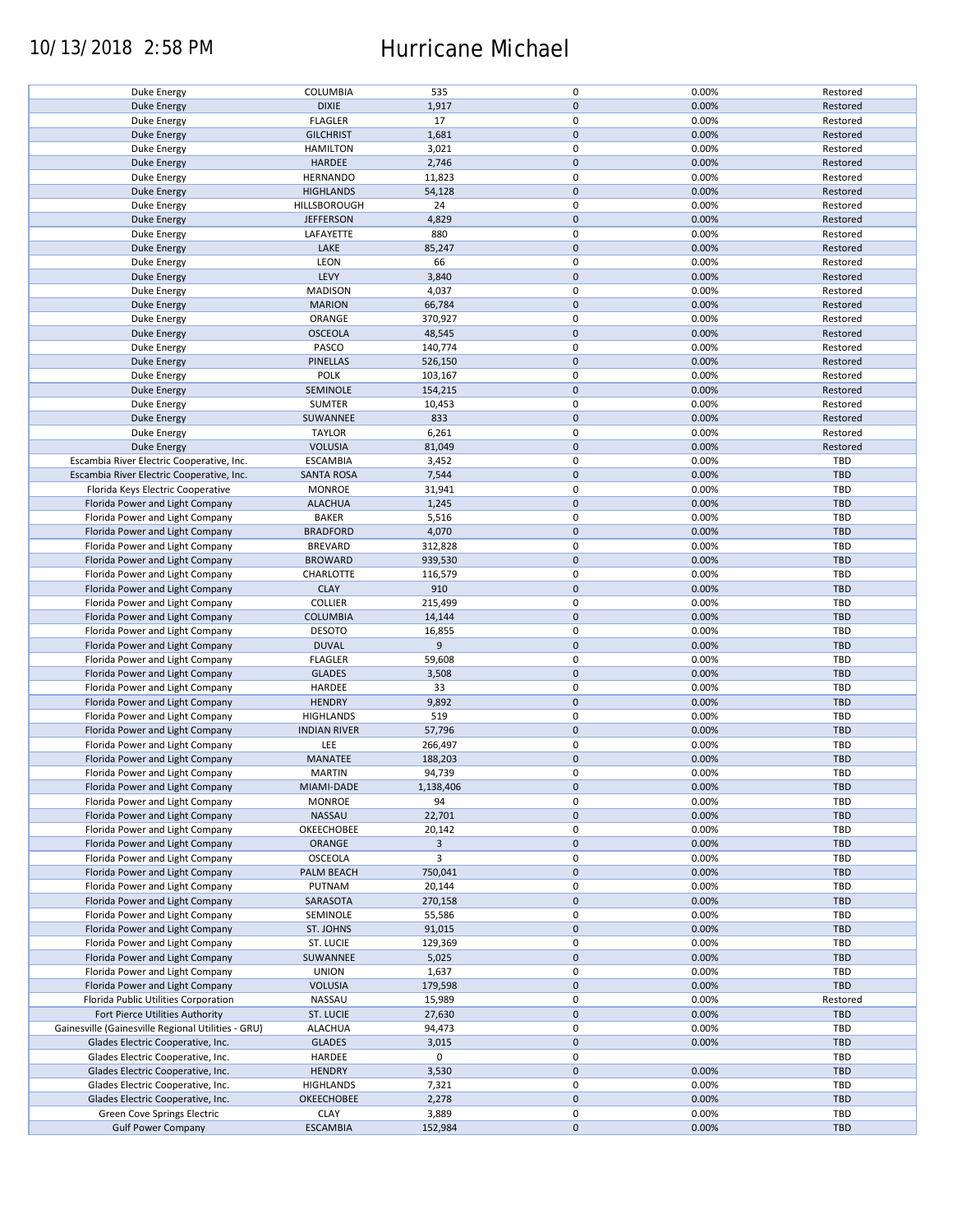## 10/13/2018 2:58 PM Hurricane Michael

| Duke Energy                                              | COLUMBIA                       | 535              | 0                      | 0.00%          | Restored   |
|----------------------------------------------------------|--------------------------------|------------------|------------------------|----------------|------------|
| <b>Duke Energy</b>                                       | <b>DIXIE</b>                   | 1,917            | $\pmb{0}$              | 0.00%          | Restored   |
| Duke Energy                                              | <b>FLAGLER</b>                 | 17               | 0                      | 0.00%          | Restored   |
|                                                          |                                |                  |                        |                |            |
| <b>Duke Energy</b>                                       | <b>GILCHRIST</b>               | 1,681            | $\mathbf 0$            | 0.00%          | Restored   |
| Duke Energy                                              | <b>HAMILTON</b>                | 3,021            | 0                      | 0.00%          | Restored   |
| <b>Duke Energy</b>                                       | <b>HARDEE</b>                  | 2,746            | $\pmb{0}$              | 0.00%          | Restored   |
|                                                          |                                |                  |                        |                |            |
| Duke Energy                                              | <b>HERNANDO</b>                | 11,823           | 0                      | 0.00%          | Restored   |
| <b>Duke Energy</b>                                       | <b>HIGHLANDS</b>               | 54,128           | $\pmb{0}$              | 0.00%          | Restored   |
|                                                          | HILLSBOROUGH                   | 24               | $\mathbf 0$            | 0.00%          | Restored   |
| Duke Energy                                              |                                |                  |                        |                |            |
| <b>Duke Energy</b>                                       | <b>JEFFERSON</b>               | 4,829            | $\mathbf 0$            | 0.00%          | Restored   |
| Duke Energy                                              | LAFAYETTE                      | 880              | $\mathbf 0$            | 0.00%          | Restored   |
| <b>Duke Energy</b>                                       | LAKE                           | 85,247           | $\pmb{0}$              | 0.00%          | Restored   |
|                                                          |                                |                  |                        |                |            |
| Duke Energy                                              | LEON                           | 66               | 0                      | 0.00%          | Restored   |
| Duke Energy                                              | LEVY                           | 3,840            | $\pmb{0}$              | 0.00%          | Restored   |
|                                                          | <b>MADISON</b>                 | 4,037            | 0                      | 0.00%          | Restored   |
| Duke Energy                                              |                                |                  |                        |                |            |
| <b>Duke Energy</b>                                       | <b>MARION</b>                  | 66,784           | $\pmb{0}$              | 0.00%          | Restored   |
| Duke Energy                                              | ORANGE                         | 370,927          | 0                      | 0.00%          | Restored   |
|                                                          | <b>OSCEOLA</b>                 | 48,545           | $\pmb{0}$              | 0.00%          | Restored   |
| <b>Duke Energy</b>                                       |                                |                  |                        |                |            |
| Duke Energy                                              | PASCO                          | 140,774          | $\pmb{0}$              | 0.00%          | Restored   |
| <b>Duke Energy</b>                                       | <b>PINELLAS</b>                | 526,150          | $\pmb{0}$              | 0.00%          | Restored   |
|                                                          |                                |                  |                        |                |            |
| Duke Energy                                              | <b>POLK</b>                    | 103,167          | 0                      | 0.00%          | Restored   |
| <b>Duke Energy</b>                                       | SEMINOLE                       | 154,215          | $\pmb{0}$              | 0.00%          | Restored   |
| Duke Energy                                              | <b>SUMTER</b>                  | 10,453           | $\pmb{0}$              | 0.00%          | Restored   |
|                                                          |                                |                  |                        |                |            |
| <b>Duke Energy</b>                                       | SUWANNEE                       | 833              | $\mathbf 0$            | 0.00%          | Restored   |
| Duke Energy                                              | <b>TAYLOR</b>                  | 6,261            | $\pmb{0}$              | 0.00%          | Restored   |
| <b>Duke Energy</b>                                       | <b>VOLUSIA</b>                 | 81,049           | $\pmb{0}$              | 0.00%          | Restored   |
|                                                          |                                |                  |                        |                |            |
| Escambia River Electric Cooperative, Inc.                | <b>ESCAMBIA</b>                | 3,452            | $\mathbf 0$            | 0.00%          | TBD        |
| Escambia River Electric Cooperative, Inc.                | <b>SANTA ROSA</b>              | 7,544            | $\pmb{0}$              | 0.00%          | <b>TBD</b> |
|                                                          | <b>MONROE</b>                  | 31,941           | $\mathbf 0$            | 0.00%          | TBD        |
| Florida Keys Electric Cooperative                        |                                |                  |                        |                |            |
| Florida Power and Light Company                          | <b>ALACHUA</b>                 | 1,245            | $\pmb{0}$              | 0.00%          | <b>TBD</b> |
| Florida Power and Light Company                          | <b>BAKER</b>                   | 5,516            | $\mathbf 0$            | 0.00%          | TBD        |
|                                                          |                                |                  | $\pmb{0}$              |                | <b>TBD</b> |
| Florida Power and Light Company                          | <b>BRADFORD</b>                | 4,070            |                        | 0.00%          |            |
| Florida Power and Light Company                          | <b>BREVARD</b>                 | 312,828          | $\mathbf 0$            | 0.00%          | TBD        |
| Florida Power and Light Company                          | <b>BROWARD</b>                 | 939,530          | $\pmb{0}$              | 0.00%          | <b>TBD</b> |
|                                                          |                                |                  |                        |                |            |
| Florida Power and Light Company                          | CHARLOTTE                      | 116,579          | 0                      | 0.00%          | TBD        |
| Florida Power and Light Company                          | <b>CLAY</b>                    | 910              | $\pmb{0}$              | 0.00%          | <b>TBD</b> |
| Florida Power and Light Company                          | <b>COLLIER</b>                 | 215,499          | 0                      | 0.00%          | <b>TBD</b> |
|                                                          |                                |                  |                        |                |            |
| Florida Power and Light Company                          | <b>COLUMBIA</b>                | 14,144           | $\pmb{0}$              | 0.00%          | <b>TBD</b> |
| Florida Power and Light Company                          | <b>DESOTO</b>                  | 16,855           | 0                      | 0.00%          | TBD        |
| Florida Power and Light Company                          | <b>DUVAL</b>                   | 9                | 0                      | 0.00%          | <b>TBD</b> |
|                                                          |                                |                  |                        |                |            |
| Florida Power and Light Company                          | <b>FLAGLER</b>                 | 59,608           | 0                      | 0.00%          | TBD        |
| Florida Power and Light Company                          | <b>GLADES</b>                  | 3,508            | $\mathbf 0$            | 0.00%          | <b>TBD</b> |
|                                                          |                                |                  |                        |                |            |
| Florida Power and Light Company                          | HARDEE                         | 33               | 0                      | 0.00%          | TBD        |
| Florida Power and Light Company                          | <b>HENDRY</b>                  | 9,892            | $\pmb{0}$              | 0.00%          | <b>TBD</b> |
| Florida Power and Light Company                          | <b>HIGHLANDS</b>               | 519              | $\pmb{0}$              | 0.00%          | TBD        |
|                                                          |                                |                  |                        |                |            |
| Florida Power and Light Company                          | <b>INDIAN RIVER</b>            | 57,796           | $\pmb{0}$              | 0.00%          | <b>TBD</b> |
| Florida Power and Light Company                          | LEE                            | 266,497          | 0                      | 0.00%          | TBD        |
| Florida Power and Light Company                          | MANATEE                        | 188,203          | $\mathbf 0$            | 0.00%          | <b>TBD</b> |
|                                                          |                                |                  |                        |                |            |
| Florida Power and Light Company                          | <b>MARTIN</b>                  | 94,739           | $\mathbf 0$            | 0.00%          | TBD        |
| Florida Power and Light Company                          | MIAMI-DADE                     | 1,138,406        | $\pmb{0}$              | 0.00%          | <b>TBD</b> |
| Florida Power and Light Company                          | <b>MONROE</b>                  | 94               | 0                      | 0.00%          | TBD        |
|                                                          |                                |                  |                        |                |            |
| Florida Power and Light Company                          | NASSAU                         | 22,701           | $\mathbf 0$            | 0.00%          | <b>TBD</b> |
| Florida Power and Light Company                          | OKEECHOBEE                     | 20,142           | 0                      | 0.00%          | TBD        |
| Florida Power and Light Company                          | ORANGE                         | 3                | $\pmb{0}$              | 0.00%          | <b>TBD</b> |
|                                                          |                                |                  |                        |                |            |
| Florida Power and Light Company                          | OSCEOLA                        | 3                | 0                      | 0.00%          | TBD        |
| Florida Power and Light Company                          | PALM BEACH                     | 750,041          | $\pmb{0}$              | 0.00%          | <b>TBD</b> |
| Florida Power and Light Company                          | PUTNAM                         | 20,144           | 0                      | 0.00%          | TBD        |
|                                                          |                                |                  |                        |                |            |
| Florida Power and Light Company                          | SARASOTA                       | 270,158          | $\pmb{0}$              | 0.00%          | <b>TBD</b> |
| Florida Power and Light Company                          | SEMINOLE                       | 55,586           | 0                      | 0.00%          | TBD        |
|                                                          |                                |                  |                        |                |            |
|                                                          |                                |                  |                        |                |            |
| Florida Power and Light Company                          | ST. JOHNS                      | 91,015           | $\mathbf 0$            | 0.00%          | TBD        |
| Florida Power and Light Company                          | ST. LUCIE                      | 129,369          | 0                      | 0.00%          | TBD        |
|                                                          |                                |                  |                        |                |            |
| Florida Power and Light Company                          | SUWANNEE                       | 5,025            | 0                      | 0.00%          | <b>TBD</b> |
| Florida Power and Light Company                          | <b>UNION</b>                   | 1,637            | 0                      | 0.00%          | TBD        |
| Florida Power and Light Company                          | <b>VOLUSIA</b>                 | 179,598          | 0                      | 0.00%          | <b>TBD</b> |
|                                                          |                                |                  |                        |                |            |
| Florida Public Utilities Corporation                     | NASSAU                         | 15,989           | 0                      | 0.00%          | Restored   |
| Fort Pierce Utilities Authority                          | ST. LUCIE                      | 27,630           | $\pmb{0}$              | 0.00%          | <b>TBD</b> |
| Gainesville (Gainesville Regional Utilities - GRU)       | <b>ALACHUA</b>                 | 94,473           | 0                      | 0.00%          | TBD        |
|                                                          |                                |                  |                        |                |            |
| Glades Electric Cooperative, Inc.                        | <b>GLADES</b>                  | 3,015            | $\pmb{0}$              | 0.00%          | <b>TBD</b> |
| Glades Electric Cooperative, Inc.                        | HARDEE                         | 0                | $\pmb{0}$              |                | TBD        |
|                                                          |                                |                  |                        |                |            |
| Glades Electric Cooperative, Inc.                        | <b>HENDRY</b>                  | 3,530            | $\pmb{0}$              | 0.00%          | <b>TBD</b> |
| Glades Electric Cooperative, Inc.                        | <b>HIGHLANDS</b>               | 7,321            | 0                      | 0.00%          | TBD        |
| Glades Electric Cooperative, Inc.                        | OKEECHOBEE                     | 2,278            | $\pmb{0}$              | 0.00%          | <b>TBD</b> |
|                                                          |                                |                  |                        |                |            |
| Green Cove Springs Electric<br><b>Gulf Power Company</b> | <b>CLAY</b><br><b>ESCAMBIA</b> | 3,889<br>152,984 | $\pmb{0}$<br>$\pmb{0}$ | 0.00%<br>0.00% | TBD<br>TBD |